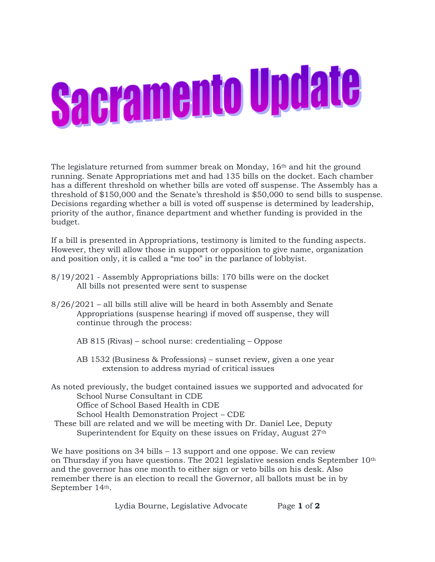## **Sacramento Update**

The legislature returned from summer break on Monday, 16th and hit the ground running. Senate Appropriations met and had 135 bills on the docket. Each chamber has a different threshold on whether bills are voted off suspense. The Assembly has a threshold of \$150,000 and the Senate's threshold is \$50,000 to send bills to suspense. Decisions regarding whether a bill is voted off suspense is determined by leadership, priority of the author, finance department and whether funding is provided in the budget.

If a bill is presented in Appropriations, testimony is limited to the funding aspects. However, they will allow those in support or opposition to give name, organization and position only, it is called a "me too" in the parlance of lobbyist.

- 8/19/2021 Assembly Appropriations bills: 170 bills were on the docket All bills not presented were sent to suspense
- 8/26/2021 all bills still alive will be heard in both Assembly and Senate Appropriations (suspense hearing) if moved off suspense, they will continue through the process:
	- AB 815 (Rivas) school nurse: credentialing Oppose
	- AB 1532 (Business & Professions) sunset review, given a one year extension to address myriad of critical issues
- As noted previously, the budget contained issues we supported and advocated for School Nurse Consultant in CDE

Office of School Based Health in CDE

School Health Demonstration Project – CDE

These bill are related and we will be meeting with Dr. Daniel Lee, Deputy Superintendent for Equity on these issues on Friday, August 27<sup>th</sup>

We have positions on 34 bills – 13 support and one oppose. We can review on Thursday if you have questions. The 2021 legislative session ends September 10th and the governor has one month to either sign or veto bills on his desk. Also remember there is an election to recall the Governor, all ballots must be in by September 14th.

Lydia Bourne, Legislative Advocate Page **1** of **2**